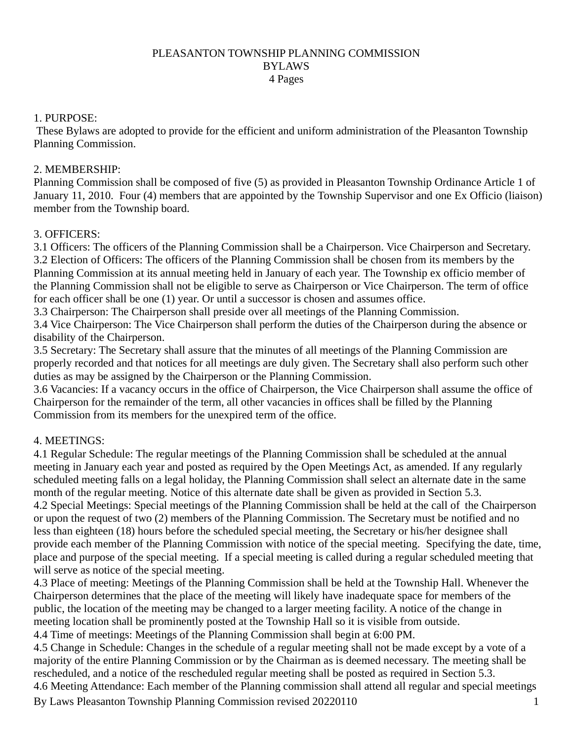### PLEASANTON TOWNSHIP PLANNING COMMISSION BYLAWS 4 Pages

#### 1. PURPOSE:

These Bylaws are adopted to provide for the efficient and uniform administration of the Pleasanton Township Planning Commission.

### 2. MEMBERSHIP:

Planning Commission shall be composed of five (5) as provided in Pleasanton Township Ordinance Article 1 of January 11, 2010. Four (4) members that are appointed by the Township Supervisor and one Ex Officio (liaison) member from the Township board.

### 3. OFFICERS:

3.1 Officers: The officers of the Planning Commission shall be a Chairperson. Vice Chairperson and Secretary. 3.2 Election of Officers: The officers of the Planning Commission shall be chosen from its members by the Planning Commission at its annual meeting held in January of each year. The Township ex officio member of the Planning Commission shall not be eligible to serve as Chairperson or Vice Chairperson. The term of office for each officer shall be one (1) year. Or until a successor is chosen and assumes office.

3.3 Chairperson: The Chairperson shall preside over all meetings of the Planning Commission.

3.4 Vice Chairperson: The Vice Chairperson shall perform the duties of the Chairperson during the absence or disability of the Chairperson.

3.5 Secretary: The Secretary shall assure that the minutes of all meetings of the Planning Commission are properly recorded and that notices for all meetings are duly given. The Secretary shall also perform such other duties as may be assigned by the Chairperson or the Planning Commission.

3.6 Vacancies: If a vacancy occurs in the office of Chairperson, the Vice Chairperson shall assume the office of Chairperson for the remainder of the term, all other vacancies in offices shall be filled by the Planning Commission from its members for the unexpired term of the office.

## 4. MEETINGS:

4.1 Regular Schedule: The regular meetings of the Planning Commission shall be scheduled at the annual meeting in January each year and posted as required by the Open Meetings Act, as amended. If any regularly scheduled meeting falls on a legal holiday, the Planning Commission shall select an alternate date in the same month of the regular meeting. Notice of this alternate date shall be given as provided in Section 5.3. 4.2 Special Meetings: Special meetings of the Planning Commission shall be held at the call of the Chairperson or upon the request of two (2) members of the Planning Commission. The Secretary must be notified and no less than eighteen (18) hours before the scheduled special meeting, the Secretary or his/her designee shall provide each member of the Planning Commission with notice of the special meeting. Specifying the date, time, place and purpose of the special meeting. If a special meeting is called during a regular scheduled meeting that will serve as notice of the special meeting.

4.3 Place of meeting: Meetings of the Planning Commission shall be held at the Township Hall. Whenever the Chairperson determines that the place of the meeting will likely have inadequate space for members of the public, the location of the meeting may be changed to a larger meeting facility. A notice of the change in meeting location shall be prominently posted at the Township Hall so it is visible from outside.

4.4 Time of meetings: Meetings of the Planning Commission shall begin at 6:00 PM.

4.5 Change in Schedule: Changes in the schedule of a regular meeting shall not be made except by a vote of a majority of the entire Planning Commission or by the Chairman as is deemed necessary. The meeting shall be rescheduled, and a notice of the rescheduled regular meeting shall be posted as required in Section 5.3.

4.6 Meeting Attendance: Each member of the Planning commission shall attend all regular and special meetings

By Laws Pleasanton Township Planning Commission revised 20220110 1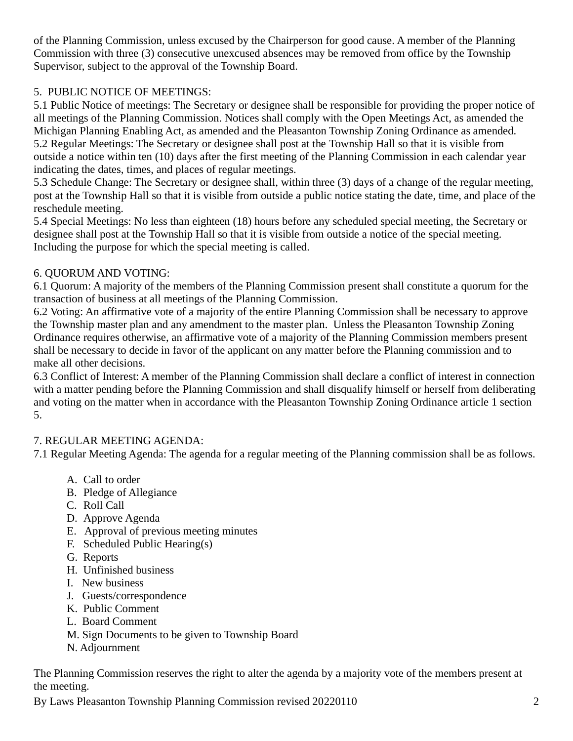of the Planning Commission, unless excused by the Chairperson for good cause. A member of the Planning Commission with three (3) consecutive unexcused absences may be removed from office by the Township Supervisor, subject to the approval of the Township Board.

# 5. PUBLIC NOTICE OF MEETINGS:

5.1 Public Notice of meetings: The Secretary or designee shall be responsible for providing the proper notice of all meetings of the Planning Commission. Notices shall comply with the Open Meetings Act, as amended the Michigan Planning Enabling Act, as amended and the Pleasanton Township Zoning Ordinance as amended. 5.2 Regular Meetings: The Secretary or designee shall post at the Township Hall so that it is visible from outside a notice within ten (10) days after the first meeting of the Planning Commission in each calendar year indicating the dates, times, and places of regular meetings.

5.3 Schedule Change: The Secretary or designee shall, within three (3) days of a change of the regular meeting, post at the Township Hall so that it is visible from outside a public notice stating the date, time, and place of the reschedule meeting.

5.4 Special Meetings: No less than eighteen (18) hours before any scheduled special meeting, the Secretary or designee shall post at the Township Hall so that it is visible from outside a notice of the special meeting. Including the purpose for which the special meeting is called.

## 6. QUORUM AND VOTING:

6.1 Quorum: A majority of the members of the Planning Commission present shall constitute a quorum for the transaction of business at all meetings of the Planning Commission.

6.2 Voting: An affirmative vote of a majority of the entire Planning Commission shall be necessary to approve the Township master plan and any amendment to the master plan. Unless the Pleasanton Township Zoning Ordinance requires otherwise, an affirmative vote of a majority of the Planning Commission members present shall be necessary to decide in favor of the applicant on any matter before the Planning commission and to make all other decisions.

6.3 Conflict of Interest: A member of the Planning Commission shall declare a conflict of interest in connection with a matter pending before the Planning Commission and shall disqualify himself or herself from deliberating and voting on the matter when in accordance with the Pleasanton Township Zoning Ordinance article 1 section 5.

## 7. REGULAR MEETING AGENDA:

7.1 Regular Meeting Agenda: The agenda for a regular meeting of the Planning commission shall be as follows.

- A. Call to order
- B. Pledge of Allegiance
- C. Roll Call
- D. Approve Agenda
- E. Approval of previous meeting minutes
- F. Scheduled Public Hearing(s)
- G. Reports
- H. Unfinished business
- I. New business
- J. Guests/correspondence
- K. Public Comment
- L. Board Comment
- M. Sign Documents to be given to Township Board
- N. Adjournment

The Planning Commission reserves the right to alter the agenda by a majority vote of the members present at the meeting.

By Laws Pleasanton Township Planning Commission revised 20220110 2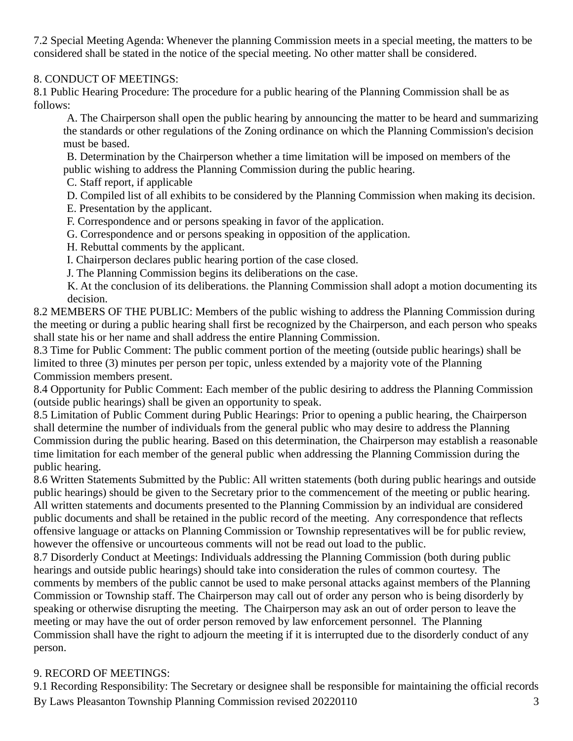7.2 Special Meeting Agenda: Whenever the planning Commission meets in a special meeting, the matters to be considered shall be stated in the notice of the special meeting. No other matter shall be considered.

### 8. CONDUCT OF MEETINGS:

8.1 Public Hearing Procedure: The procedure for a public hearing of the Planning Commission shall be as follows:

A. The Chairperson shall open the public hearing by announcing the matter to be heard and summarizing the standards or other regulations of the Zoning ordinance on which the Planning Commission's decision must be based.

B. Determination by the Chairperson whether a time limitation will be imposed on members of the public wishing to address the Planning Commission during the public hearing.

C. Staff report, if applicable

D. Compiled list of all exhibits to be considered by the Planning Commission when making its decision.

E. Presentation by the applicant.

F. Correspondence and or persons speaking in favor of the application.

G. Correspondence and or persons speaking in opposition of the application.

H. Rebuttal comments by the applicant.

I. Chairperson declares public hearing portion of the case closed.

J. The Planning Commission begins its deliberations on the case.

K. At the conclusion of its deliberations. the Planning Commission shall adopt a motion documenting its decision.

8.2 MEMBERS OF THE PUBLIC: Members of the public wishing to address the Planning Commission during the meeting or during a public hearing shall first be recognized by the Chairperson, and each person who speaks shall state his or her name and shall address the entire Planning Commission.

8.3 Time for Public Comment: The public comment portion of the meeting (outside public hearings) shall be limited to three (3) minutes per person per topic, unless extended by a majority vote of the Planning Commission members present.

8.4 Opportunity for Public Comment: Each member of the public desiring to address the Planning Commission (outside public hearings) shall be given an opportunity to speak.

8.5 Limitation of Public Comment during Public Hearings: Prior to opening a public hearing, the Chairperson shall determine the number of individuals from the general public who may desire to address the Planning Commission during the public hearing. Based on this determination, the Chairperson may establish a reasonable time limitation for each member of the general public when addressing the Planning Commission during the public hearing.

8.6 Written Statements Submitted by the Public: All written statements (both during public hearings and outside public hearings) should be given to the Secretary prior to the commencement of the meeting or public hearing. All written statements and documents presented to the Planning Commission by an individual are considered public documents and shall be retained in the public record of the meeting. Any correspondence that reflects offensive language or attacks on Planning Commission or Township representatives will be for public review, however the offensive or uncourteous comments will not be read out load to the public.

8.7 Disorderly Conduct at Meetings: Individuals addressing the Planning Commission (both during public hearings and outside public hearings) should take into consideration the rules of common courtesy. The comments by members of the public cannot be used to make personal attacks against members of the Planning Commission or Township staff. The Chairperson may call out of order any person who is being disorderly by speaking or otherwise disrupting the meeting. The Chairperson may ask an out of order person to leave the meeting or may have the out of order person removed by law enforcement personnel. The Planning Commission shall have the right to adjourn the meeting if it is interrupted due to the disorderly conduct of any person.

## 9. RECORD OF MEETINGS:

By Laws Pleasanton Township Planning Commission revised 20220110 3 9.1 Recording Responsibility: The Secretary or designee shall be responsible for maintaining the official records